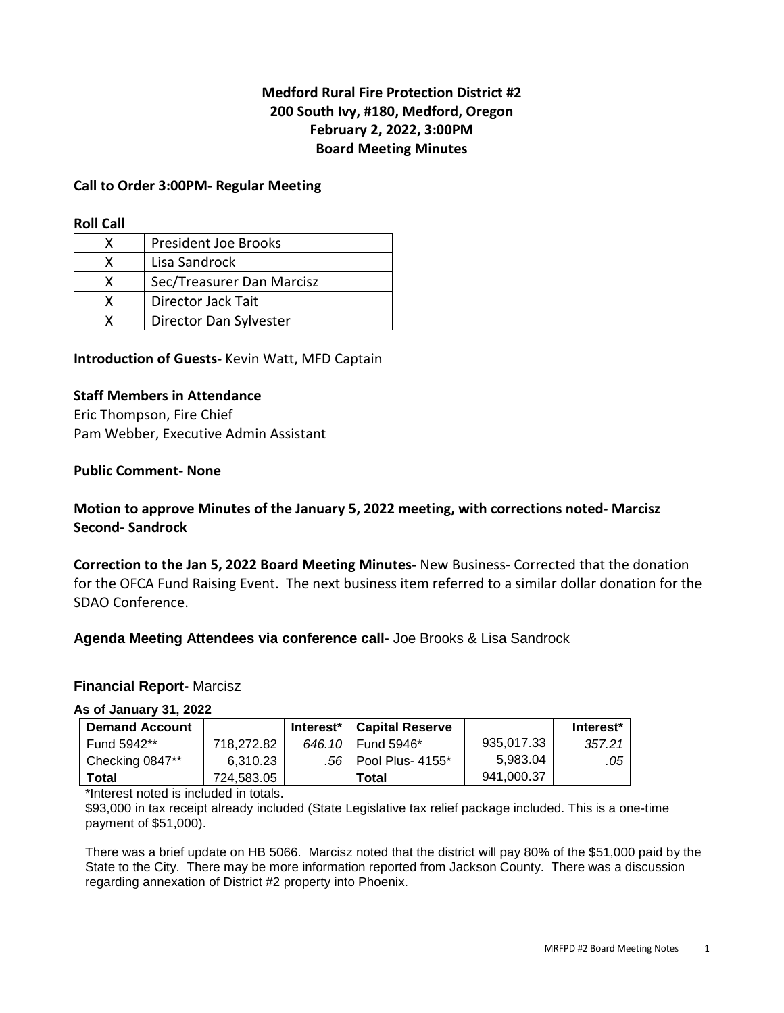# **Medford Rural Fire Protection District #2 200 South Ivy, #180, Medford, Oregon February 2, 2022, 3:00PM Board Meeting Minutes**

### **Call to Order 3:00PM- Regular Meeting**

#### **Roll Call**

| x | President Joe Brooks      |
|---|---------------------------|
| x | Lisa Sandrock             |
| x | Sec/Treasurer Dan Marcisz |
| x | Director Jack Tait        |
|   | Director Dan Sylvester    |

#### **Introduction of Guests-** Kevin Watt, MFD Captain

### **Staff Members in Attendance**

Eric Thompson, Fire Chief Pam Webber, Executive Admin Assistant

#### **Public Comment- None**

# **Motion to approve Minutes of the January 5, 2022 meeting, with corrections noted- Marcisz Second- Sandrock**

**Correction to the Jan 5, 2022 Board Meeting Minutes-** New Business- Corrected that the donation for the OFCA Fund Raising Event. The next business item referred to a similar dollar donation for the SDAO Conference.

#### **Agenda Meeting Attendees via conference call-** Joe Brooks & Lisa Sandrock

#### **Financial Report-** Marcisz

#### **As of January 31, 2022**

| <b>Demand Account</b> |            | Interest* | <b>Capital Reserve</b> |            | Interest* |
|-----------------------|------------|-----------|------------------------|------------|-----------|
| Fund 5942**           | 718.272.82 |           | 646.10   Fund 5946*    | 935,017.33 | 357.21    |
| Checking 0847**       | 6.310.23   |           | .56   Pool Plus- 4155* | 5.983.04   | .05       |
| Total                 | 724.583.05 |           | Total                  | 941.000.37 |           |

\*Interest noted is included in totals.

\$93,000 in tax receipt already included (State Legislative tax relief package included. This is a one-time payment of \$51,000).

There was a brief update on HB 5066. Marcisz noted that the district will pay 80% of the \$51,000 paid by the State to the City. There may be more information reported from Jackson County. There was a discussion regarding annexation of District #2 property into Phoenix.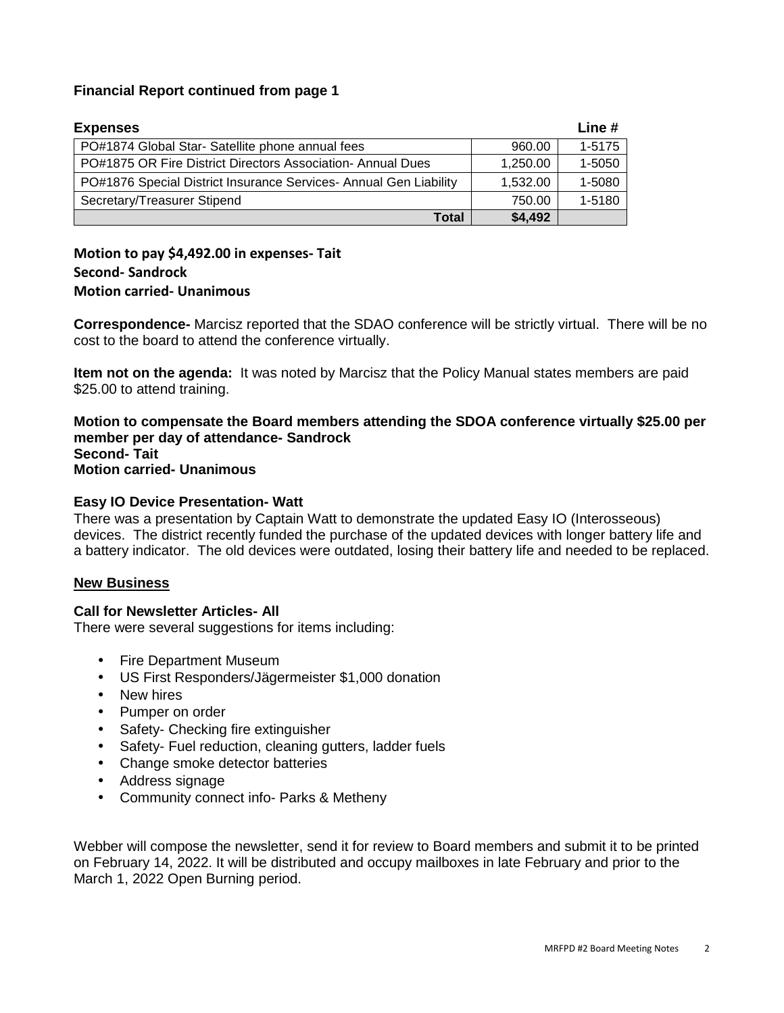## **Financial Report continued from page 1**

| <b>Expenses</b>                                                   |          | Line $#$   |
|-------------------------------------------------------------------|----------|------------|
| PO#1874 Global Star- Satellite phone annual fees                  | 960.00   | $1 - 5175$ |
| PO#1875 OR Fire District Directors Association- Annual Dues       | 1,250.00 | 1-5050     |
| PO#1876 Special District Insurance Services- Annual Gen Liability | 1,532.00 | 1-5080     |
| Secretary/Treasurer Stipend                                       | 750.00   | 1-5180     |
| <b>Total</b>                                                      | \$4,492  |            |

# **Motion to pay \$4,492.00 in expenses- Tait Second- Sandrock Motion carried- Unanimous**

**Correspondence-** Marcisz reported that the SDAO conference will be strictly virtual. There will be no cost to the board to attend the conference virtually.

**Item not on the agenda:** It was noted by Marcisz that the Policy Manual states members are paid \$25.00 to attend training.

#### **Motion to compensate the Board members attending the SDOA conference virtually \$25.00 per member per day of attendance- Sandrock Second- Tait Motion carried- Unanimous**

### **Easy IO Device Presentation- Watt**

There was a presentation by Captain Watt to demonstrate the updated Easy IO (Interosseous) devices. The district recently funded the purchase of the updated devices with longer battery life and a battery indicator. The old devices were outdated, losing their battery life and needed to be replaced.

## **New Business**

#### **Call for Newsletter Articles- All**

There were several suggestions for items including:

- Fire Department Museum
- US First Responders/Jägermeister \$1,000 donation
- New hires
- Pumper on order
- Safety- Checking fire extinguisher
- Safety- Fuel reduction, cleaning gutters, ladder fuels
- Change smoke detector batteries
- Address signage
- Community connect info- Parks & Metheny

Webber will compose the newsletter, send it for review to Board members and submit it to be printed on February 14, 2022. It will be distributed and occupy mailboxes in late February and prior to the March 1, 2022 Open Burning period.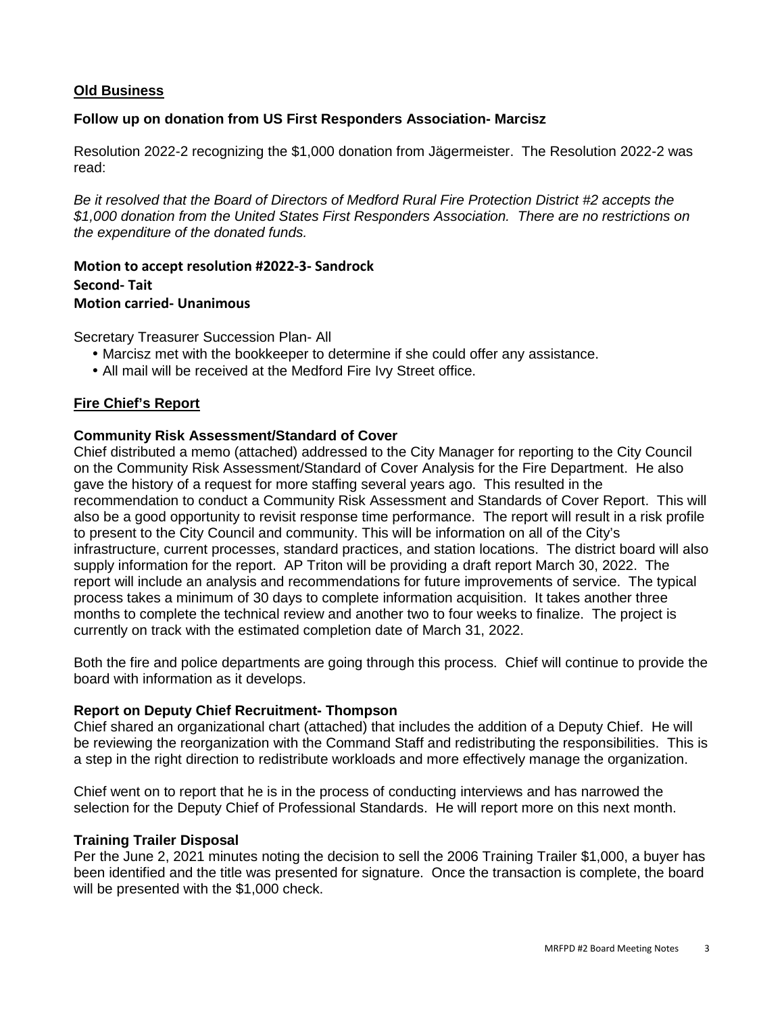## **Old Business**

### **Follow up on donation from US First Responders Association- Marcisz**

Resolution 2022-2 recognizing the \$1,000 donation from Jägermeister. The Resolution 2022-2 was read:

Be it resolved that the Board of Directors of Medford Rural Fire Protection District #2 accepts the \$1,000 donation from the United States First Responders Association. There are no restrictions on the expenditure of the donated funds.

**Motion to accept resolution #2022-3- Sandrock Second- Tait Motion carried- Unanimous** 

Secretary Treasurer Succession Plan- All

- Marcisz met with the bookkeeper to determine if she could offer any assistance.
- All mail will be received at the Medford Fire Ivy Street office.

### **Fire Chief's Report**

### **Community Risk Assessment/Standard of Cover**

Chief distributed a memo (attached) addressed to the City Manager for reporting to the City Council on the Community Risk Assessment/Standard of Cover Analysis for the Fire Department. He also gave the history of a request for more staffing several years ago. This resulted in the recommendation to conduct a Community Risk Assessment and Standards of Cover Report. This will also be a good opportunity to revisit response time performance. The report will result in a risk profile to present to the City Council and community. This will be information on all of the City's infrastructure, current processes, standard practices, and station locations. The district board will also supply information for the report. AP Triton will be providing a draft report March 30, 2022. The report will include an analysis and recommendations for future improvements of service. The typical process takes a minimum of 30 days to complete information acquisition. It takes another three months to complete the technical review and another two to four weeks to finalize. The project is currently on track with the estimated completion date of March 31, 2022.

Both the fire and police departments are going through this process. Chief will continue to provide the board with information as it develops.

#### **Report on Deputy Chief Recruitment- Thompson**

Chief shared an organizational chart (attached) that includes the addition of a Deputy Chief. He will be reviewing the reorganization with the Command Staff and redistributing the responsibilities. This is a step in the right direction to redistribute workloads and more effectively manage the organization.

Chief went on to report that he is in the process of conducting interviews and has narrowed the selection for the Deputy Chief of Professional Standards. He will report more on this next month.

#### **Training Trailer Disposal**

Per the June 2, 2021 minutes noting the decision to sell the 2006 Training Trailer \$1,000, a buyer has been identified and the title was presented for signature. Once the transaction is complete, the board will be presented with the \$1,000 check.